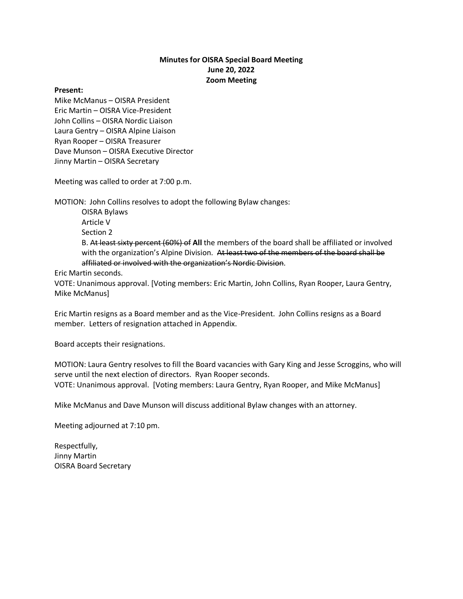## **Minutes for OISRA Special Board Meeting June 20, 2022 Zoom Meeting**

## **Present:**

Mike McManus – OISRA President Eric Martin – OISRA Vice-President John Collins – OISRA Nordic Liaison Laura Gentry – OISRA Alpine Liaison Ryan Rooper – OISRA Treasurer Dave Munson – OISRA Executive Director Jinny Martin – OISRA Secretary

Meeting was called to order at 7:00 p.m.

MOTION: John Collins resolves to adopt the following Bylaw changes:

OISRA Bylaws Article V Section 2 B. At least sixty percent (60%) of **All** the members of the board shall be affiliated or involved with the organization's Alpine Division. At least two of the members of the board shall be affiliated or involved with the organization's Nordic Division.

Eric Martin seconds.

VOTE: Unanimous approval. [Voting members: Eric Martin, John Collins, Ryan Rooper, Laura Gentry, Mike McManus]

Eric Martin resigns as a Board member and as the Vice-President. John Collins resigns as a Board member. Letters of resignation attached in Appendix.

Board accepts their resignations.

MOTION: Laura Gentry resolves to fill the Board vacancies with Gary King and Jesse Scroggins, who will serve until the next election of directors. Ryan Rooper seconds. VOTE: Unanimous approval. [Voting members: Laura Gentry, Ryan Rooper, and Mike McManus]

Mike McManus and Dave Munson will discuss additional Bylaw changes with an attorney.

Meeting adjourned at 7:10 pm.

Respectfully, Jinny Martin OISRA Board Secretary